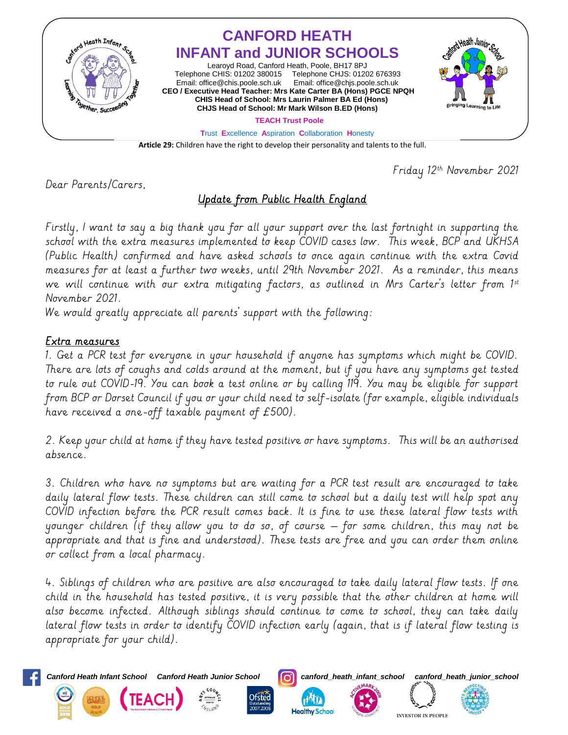

**Article 29:** Children have the right to develop their personality and talents to the full.

Friday 12th November 2021

Dear Parents/Carers,

# Update from Public Health England

Firstly, I want to say a big thank you for all your support over the last fortnight in supporting the school with the extra measures implemented to keep COVID cases low. This week, BCP and UKHSA (Public Health) confirmed and have asked schools to once again continue with the extra Covid measures for at least a further two weeks, until 29th November 2021. As a reminder, this means we will continue with our extra mitigating factors, as outlined in Mrs Carter's letter from 1st November 2021.

We would greatly appreciate all parents' support with the following:

#### Extra measures

1. Get a PCR test for everyone in your household if anyone has symptoms which might be COVID. There are lots of coughs and colds around at the moment, but if you have any symptoms get tested to rule out COVID-19. You can book a test online or by calling 119. You may be eligible for support from BCP or Dorset Council if you or your child need to self-isolate (for example, eligible individuals have received a one-off taxable payment of £500).

2. Keep your child at home if they have tested positive or have symptoms. This will be an authorised absence.

3. Children who have no symptoms but are waiting for a PCR test result are encouraged to take daily lateral flow tests. These children can still come to school but a daily test will help spot any COVID infection before the PCR result comes back. It is fine to use these lateral flow tests with younger children (if they allow you to do so, of course – for some children, this may not be appropriate and that is fine and understood). These tests are free and you can order them online or collect from a local pharmacy.

4. Siblings of children who are positive are also encouraged to take daily lateral flow tests. If one child in the household has tested positive, it is very possible that the other children at home will also become infected. Although siblings should continue to come to school, they can take daily lateral flow tests in order to identify COVID infection early (again, that is if lateral flow testing is appropriate for your child).